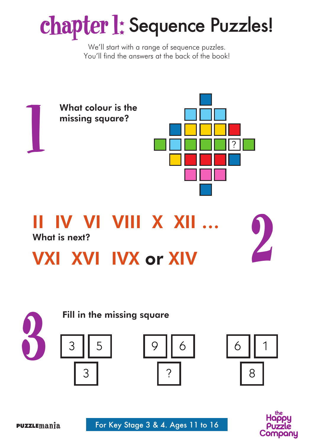# **chapter 1:** Sequence Puzzles!

We'll start with a range of sequence puzzles. You'll find the answers at the back of the book!









For Key Stage 3 & 4. Ages 11 to 16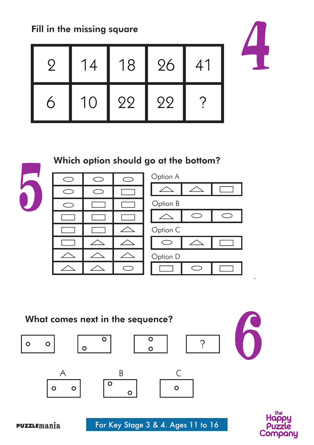Fill in the missing square Fill in the missing square



# Which option should go at the bottom?

5

| ⊂          | $\subset$                  |          | $\subset$      |
|------------|----------------------------|----------|----------------|
| $\bigcirc$ | $\circ$                    |          | L              |
| $\subset$  |                            |          | C              |
|            | $\mathcal{L}_{\text{max}}$ |          | $\overline{a}$ |
|            |                            |          | C              |
| $\Box$     | $\angle$                   | $\angle$ | l              |
| ∠          |                            |          | $\overline{C}$ |
|            | $\angle$                   |          |                |



What comes next in the sequence?

 $\circ$  $\circ$ 



 $\circ$ 



4

 $\circ$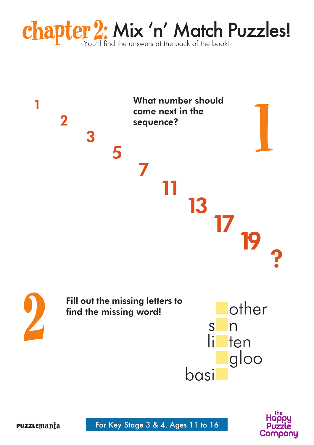



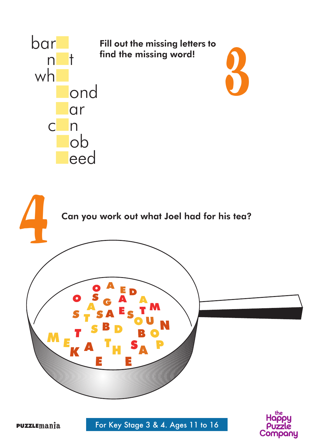

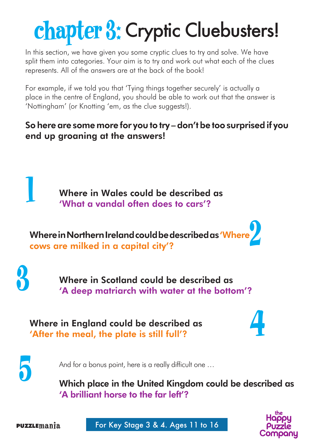# **chapter 3:** Cryptic Cluebusters!

In this section, we have given you some cryptic clues to try and solve. We have split them into categories. Your aim is to try and work out what each of the clues represents. All of the answers are at the back of the book!

For example, if we told you that 'Tying things together securely' is actually a place in the centre of England, you should be able to work out that the answer is 'Nottingham' (or Knotting 'em, as the clue suggests!).

### So here are some more for you to try – don't be too surprised if you end up groaning at the answers!

Where in Wales could be described as 'What a vandal often does to cars'?

Where in Northern Ireland could be described as 'Where Where in Northern Ireland could be described as 'Where'

Where in Scotland could be described as<br>'A deep matriarch with water at the bottom'?

Where in England could be described as 'After the meal, the plate is still full'? 4

5

1

And for a bonus point, here is a really difficult one …

Which place in the United Kingdom could be described as 'A brilliant horse to the far left'?



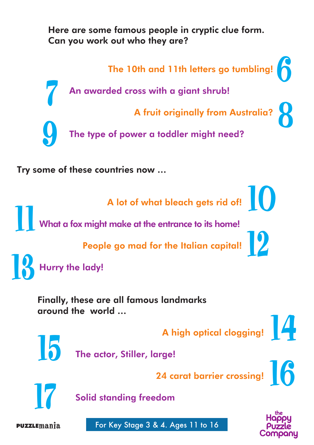Here are some famous people in cryptic clue form. Can you work out who they are?



around the world …

A high optical clogging!



The actor, Stiller, large!

24 carat barrier crossing! A high optical clogging!<br>
The actor, Stiller, large!<br>
24 carat barrier crossing!<br>
Solid standing freedom



Solid standing freedom

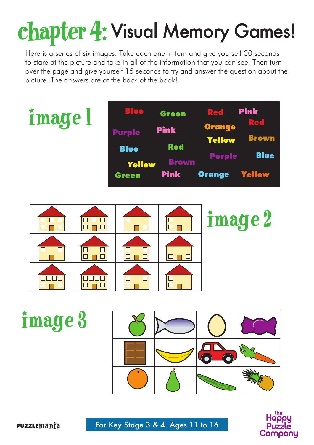# chapter 4: Visual Memory Games!

Here is a series of six images. Take each one in turn and give yourself 30 seconds to stare at the picture and take in all of the information that you can see. Then turn over the page and give yourself 15 seconds to try and answer the question about the picture. The answers are at the back of the book!





image 3 $\widehat{\bullet}$ 

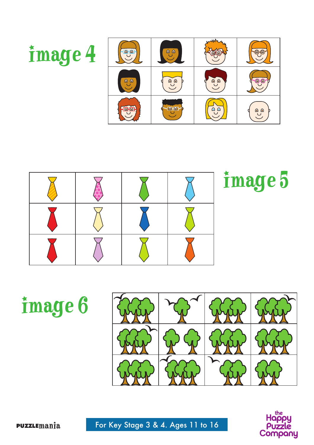



image 6



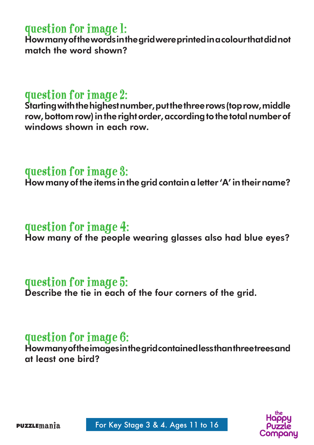# question for image 1:

How many of the words in the grid were printed in a colour that did not match the word shown?

## question for image 2:

Starting with the highest number, put the three rows (top row, middle row, bottom row) in the right order, according to the total number of windows shown in each row

## question for image 3:

How many of the items in the grid contain a letter 'A' in their name?

## question for image 4:

How many of the people wearing glasses also had blue eyes?

# question for image 5:

Describe the tie in each of the four corners of the grid.

## Question for Image 6:

How many of the images in the grid contained less than three trees and at least one bird?

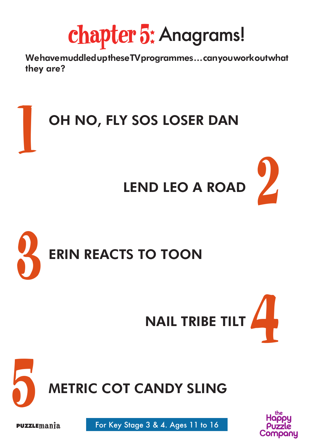chapter 5: Anagrams!

We have muddled up these TV programmes … can you work out what they are?









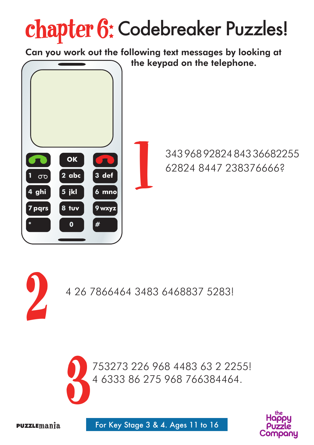# chapter 6: Codebreaker Puzzles!

Can you work out the following text messages by looking at the keypad on the telephone. 343 968 92824 843 36682255 **OK** 62824 8447 238376666? 1 **3 def 2 abc 1**  $\sigma$ **4 ghi 5 jkl 6 mno**



**9 wxyz**

**#**

753273 226 968 4483 63 2 2255! 4 6333 86 275 968 766384464.



**7 pqrs**

**8 tuv**

**0**

**\***

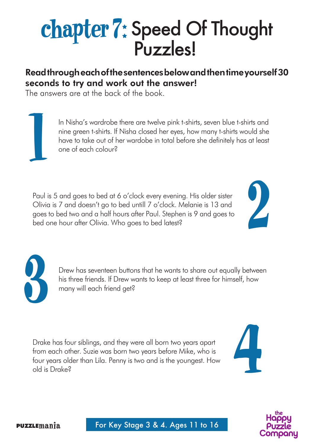# **chapter 7:** Speed Of Thought Puzzles!

### Read through each of the sentences below and then time yourself 30 seconds to try and work out the answer!

The answers are at the back of the book.

In Nisha's wardrobe there are twelve pink t-shirts, seven blue t-shirts and nine green t-shirts. If Nisha closed her eyes, how many t-shirts would she have to take out of her wardobe in total before she definitely has at least one of each colour?

Paul is 5 and goes to bed at 6 o'clock every evening. His older sister Olivia is 7 and doesn't go to bed untill 7 o'clock. Melanie is 13 and goes to bed two and a half hours after Paul. Stephen is 9 and goes to bed one hour after Olivia. Who goes to bed latest?





 $\overline{\mathsf{I}}$ 

Drew has seventeen buttons that he wants to share out equally between his three friends. If Drew wants to keep at least three for himself, how many will each friend get?

Drake has four siblings, and they were all born two years apart from each other. Suzie was born two years before Mike, who is four years older than Lila. Penny is two and is the youngest. How old is Drake?



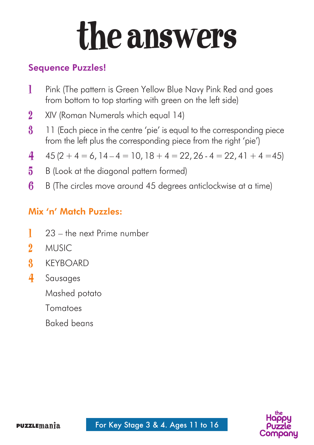# the answers

### Sequence Puzzles!

- 1 Pink (The pattern is Green Yellow Blue Navy Pink Red and goes from bottom to top starting with green on the left side)
- 2 XIV (Roman Numerals which equal 14)
- 3 11 (Each piece in the centre 'pie' is equal to the corresponding piece from the left plus the corresponding piece from the right 'pie')
- 4  $45 (2 + 4 = 6, 14 4 = 10, 18 + 4 = 22, 26 4 = 22, 41 + 4 = 45)$
- 5 B (Look at the diagonal pattern formed)
- 6 B (The circles move around 45 degrees anticlockwise at a time)

### Mix 'n' Match Puzzles:

- 1 23 the next Prime number
- 2 **MUSIC**
- 3 KEYBOARD
- 4 Sausages

Mashed potato

Tomatoes

Baked beans

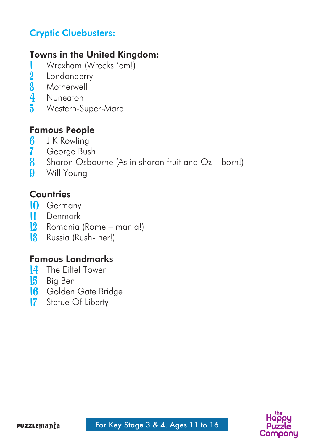### Cryptic Cluebusters:

### Towns in the United Kingdom:

- 1 Wrexham (Wrecks 'em!)<br>2 Londonderry
- 2 Londonderry<br>3 Motherwell
- **3** Motherwell<br>**4** Nuneaton
- 4 Nuneaton<br>5 Western-S
- 5 Western-Super-Mare

### Famous People

- 6 J K Rowling
- 7 George Bush
- 8 Sharon Osbourne (As in sharon fruit and Oz born!)<br>9 Will Young
- Will Young

### **Countries**

- 10 Germany
- 11 Denmark<br>12 Romania
- 12 Romania (Rome mania!)
- 18 Russia (Rush- her!)

#### Famous Landmarks

- 14 The Eiffel Tower
- 15 Big Ben
- **16** Golden Gate Bridge
- 17 Statue Of Liberty